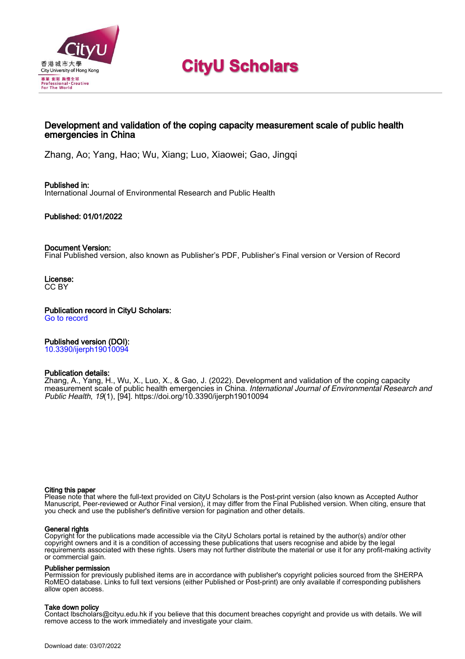

# **CityU Scholars**

# Development and validation of the coping capacity measurement scale of public health emergencies in China

Zhang, Ao; Yang, Hao; Wu, Xiang; Luo, Xiaowei; Gao, Jingqi

Published in: International Journal of Environmental Research and Public Health

Published: 01/01/2022

### Document Version:

Final Published version, also known as Publisher's PDF, Publisher's Final version or Version of Record

License: CC BY

Publication record in CityU Scholars: [Go to record](https://scholars.cityu.edu.hk/en/publications/development-and-validation-of-the-coping-capacity-measurement-scale-of-public-health-emergencies-in-china(d32a2080-024b-42a3-9289-3a81f3f59e9a).html)

# Published version (DOI):

[10.3390/ijerph19010094](https://doi.org/10.3390/ijerph19010094)

#### Publication details:

Zhang, A., Yang, H., Wu, X[., Luo, X.](https://scholars.cityu.edu.hk/en/persons/xiaowei-luo(4372b8d9-5a13-46da-aab3-1ddc6ffa76d6).html), & Gao, J. (2022). [Development and validation of the coping capacity](https://scholars.cityu.edu.hk/en/publications/development-and-validation-of-the-coping-capacity-measurement-scale-of-public-health-emergencies-in-china(d32a2080-024b-42a3-9289-3a81f3f59e9a).html) [measurement scale of public health emergencies in China.](https://scholars.cityu.edu.hk/en/publications/development-and-validation-of-the-coping-capacity-measurement-scale-of-public-health-emergencies-in-china(d32a2080-024b-42a3-9289-3a81f3f59e9a).html) [International Journal of Environmental Research and](https://scholars.cityu.edu.hk/en/journals/international-journal-of-environmental-research-and-public-health(b9e88005-aa26-4ad7-9a6f-497aead9305f)/publications.html) [Public Health](https://scholars.cityu.edu.hk/en/journals/international-journal-of-environmental-research-and-public-health(b9e88005-aa26-4ad7-9a6f-497aead9305f)/publications.html), 19(1), [94].<https://doi.org/10.3390/ijerph19010094>

#### Citing this paper

Please note that where the full-text provided on CityU Scholars is the Post-print version (also known as Accepted Author Manuscript, Peer-reviewed or Author Final version), it may differ from the Final Published version. When citing, ensure that you check and use the publisher's definitive version for pagination and other details.

#### General rights

Copyright for the publications made accessible via the CityU Scholars portal is retained by the author(s) and/or other copyright owners and it is a condition of accessing these publications that users recognise and abide by the legal requirements associated with these rights. Users may not further distribute the material or use it for any profit-making activity or commercial gain.

#### Publisher permission

Permission for previously published items are in accordance with publisher's copyright policies sourced from the SHERPA RoMEO database. Links to full text versions (either Published or Post-print) are only available if corresponding publishers allow open access.

#### Take down policy

Contact lbscholars@cityu.edu.hk if you believe that this document breaches copyright and provide us with details. We will remove access to the work immediately and investigate your claim.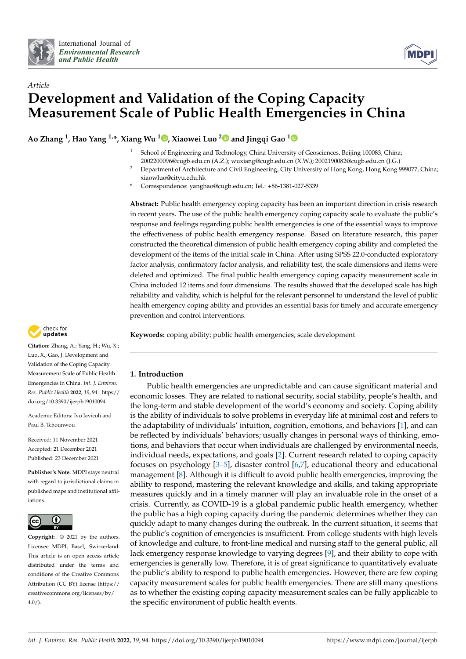



# *Article* **Development and Validation of the Coping Capacity Measurement Scale of Public Health Emergencies in China**

**Ao Zhang <sup>1</sup> , Hao Yang 1,\*, Xiang Wu <sup>1</sup> [,](https://orcid.org/0000-0001-6317-8832) Xiaowei Luo [2](https://orcid.org/0000-0002-9360-7308) and Jingqi Gao [1](https://orcid.org/0000-0003-4239-4004)**

- School of Engineering and Technology, China University of Geosciences, Beijing 100083, China; 2002200096@cugb.edu.cn (A.Z.); wuxiang@cugb.edu.cn (X.W.); 2002190082@cugb.edu.cn (J.G.)
- <sup>2</sup> Department of Architecture and Civil Engineering, City University of Hong Kong, Hong Kong 999077, China; xiaowluo@cityu.edu.hk
- **\*** Correspondence: yanghao@cugb.edu.cn; Tel.: +86-1381-027-5339

**Abstract:** Public health emergency coping capacity has been an important direction in crisis research in recent years. The use of the public health emergency coping capacity scale to evaluate the public's response and feelings regarding public health emergencies is one of the essential ways to improve the effectiveness of public health emergency response. Based on literature research, this paper constructed the theoretical dimension of public health emergency coping ability and completed the development of the items of the initial scale in China. After using SPSS 22.0-conducted exploratory factor analysis, confirmatory factor analysis, and reliability test, the scale dimensions and items were deleted and optimized. The final public health emergency coping capacity measurement scale in China included 12 items and four dimensions. The results showed that the developed scale has high reliability and validity, which is helpful for the relevant personnel to understand the level of public health emergency coping ability and provides an essential basis for timely and accurate emergency prevention and control interventions.

**Keywords:** coping ability; public health emergencies; scale development



**Citation:** Zhang, A.; Yang, H.; Wu, X.; Luo, X.; Gao, J. Development and Validation of the Coping Capacity Measurement Scale of Public Health Emergencies in China. *Int. J. Environ. Res. Public Health* **2022**, *19*, 94. [https://](https://doi.org/10.3390/ijerph19010094) [doi.org/10.3390/ijerph19010094](https://doi.org/10.3390/ijerph19010094)

Academic Editors: Ivo Iavicoli and Paul B. Tchounwou

Received: 11 November 2021 Accepted: 21 December 2021 Published: 23 December 2021

**Publisher's Note:** MDPI stays neutral with regard to jurisdictional claims in published maps and institutional affiliations.



**Copyright:** © 2021 by the authors. Licensee MDPI, Basel, Switzerland. This article is an open access article distributed under the terms and conditions of the Creative Commons Attribution (CC BY) license [\(https://](https://creativecommons.org/licenses/by/4.0/) [creativecommons.org/licenses/by/](https://creativecommons.org/licenses/by/4.0/)  $4.0/$ ).

# **1. Introduction**

Public health emergencies are unpredictable and can cause significant material and economic losses. They are related to national security, social stability, people's health, and the long-term and stable development of the world's economy and society. Coping ability is the ability of individuals to solve problems in everyday life at minimal cost and refers to the adaptability of individuals' intuition, cognition, emotions, and behaviors [\[1\]](#page-15-0), and can be reflected by individuals' behaviors; usually changes in personal ways of thinking, emotions, and behaviors that occur when individuals are challenged by environmental needs, individual needs, expectations, and goals [\[2\]](#page-15-1). Current research related to coping capacity focuses on psychology [\[3–](#page-15-2)[5\]](#page-15-3), disaster control [\[6](#page-15-4)[,7\]](#page-16-0), educational theory and educational management [\[8\]](#page-16-1). Although it is difficult to avoid public health emergencies, improving the ability to respond, mastering the relevant knowledge and skills, and taking appropriate measures quickly and in a timely manner will play an invaluable role in the onset of a crisis. Currently, as COVID-19 is a global pandemic public health emergency, whether the public has a high coping capacity during the pandemic determines whether they can quickly adapt to many changes during the outbreak. In the current situation, it seems that the public's cognition of emergencies is insufficient. From college students with high levels of knowledge and culture, to front-line medical and nursing staff to the general public, all lack emergency response knowledge to varying degrees [\[9\]](#page-16-2), and their ability to cope with emergencies is generally low. Therefore, it is of great significance to quantitatively evaluate the public's ability to respond to public health emergencies. However, there are few coping capacity measurement scales for public health emergencies. There are still many questions as to whether the existing coping capacity measurement scales can be fully applicable to the specific environment of public health events.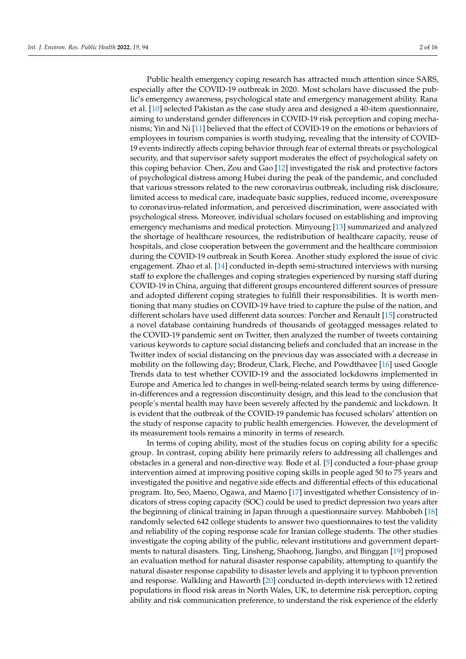Public health emergency coping research has attracted much attention since SARS, especially after the COVID-19 outbreak in 2020. Most scholars have discussed the public's emergency awareness, psychological state and emergency management ability. Rana et al. [\[10\]](#page-16-3) selected Pakistan as the case study area and designed a 40-item questionnaire, aiming to understand gender differences in COVID-19 risk perception and coping mechanisms; Yin and Ni [\[11\]](#page-16-4) believed that the effect of COVID-19 on the emotions or behaviors of employees in tourism companies is worth studying, revealing that the intensity of COVID-19 events indirectly affects coping behavior through fear of external threats or psychological security, and that supervisor safety support moderates the effect of psychological safety on this coping behavior. Chen, Zou and Gao [\[12\]](#page-16-5) investigated the risk and protective factors of psychological distress among Hubei during the peak of the pandemic, and concluded that various stressors related to the new coronavirus outbreak, including risk disclosure, limited access to medical care, inadequate basic supplies, reduced income, overexposure to coronavirus-related information, and perceived discrimination, were associated with psychological stress. Moreover, individual scholars focused on establishing and improving emergency mechanisms and medical protection. Minyoung [\[13\]](#page-16-6) summarized and analyzed the shortage of healthcare resources, the redistribution of healthcare capacity, reuse of hospitals, and close cooperation between the government and the healthcare commission during the COVID-19 outbreak in South Korea. Another study explored the issue of civic engagement. Zhao et al. [\[14\]](#page-16-7) conducted in-depth semi-structured interviews with nursing staff to explore the challenges and coping strategies experienced by nursing staff during COVID-19 in China, arguing that different groups encountered different sources of pressure and adopted different coping strategies to fulfill their responsibilities. It is worth mentioning that many studies on COVID-19 have tried to capture the pulse of the nation, and different scholars have used different data sources: Porcher and Renault [\[15\]](#page-16-8) constructed a novel database containing hundreds of thousands of geotagged messages related to the COVID-19 pandemic sent on Twitter, then analyzed the number of tweets containing various keywords to capture social distancing beliefs and concluded that an increase in the Twitter index of social distancing on the previous day was associated with a decrease in mobility on the following day; Brodeur, Clark, Fleche, and Powdthavee [\[16\]](#page-16-9) used Google Trends data to test whether COVID-19 and the associated lockdowns implemented in Europe and America led to changes in well-being-related search terms by using differencein-differences and a regression discontinuity design, and this lead to the conclusion that people's mental health may have been severely affected by the pandemic and lockdown. It is evident that the outbreak of the COVID-19 pandemic has focused scholars' attention on the study of response capacity to public health emergencies. However, the development of its measurement tools remains a minority in terms of research.

In terms of coping ability, most of the studies focus on coping ability for a specific group. In contrast, coping ability here primarily refers to addressing all challenges and obstacles in a general and non-directive way. Bode et al. [\[5\]](#page-15-3) conducted a four-phase group intervention aimed at improving positive coping skills in people aged 50 to 75 years and investigated the positive and negative side effects and differential effects of this educational program. Ito, Seo, Maeno, Ogawa, and Maeno [\[17\]](#page-16-10) investigated whether Consistency of indicators of stress coping capacity (SOC) could be used to predict depression two years after the beginning of clinical training in Japan through a questionnaire survey. Mahbobeh [\[18\]](#page-16-11) randomly selected 642 college students to answer two questionnaires to test the validity and reliability of the coping response scale for Iranian college students. The other studies investigate the coping ability of the public, relevant institutions and government departments to natural disasters. Ting, Linsheng, Shaohong, Jiangbo, and Binggan [\[19\]](#page-16-12) proposed an evaluation method for natural disaster response capability, attempting to quantify the natural disaster response capability to disaster levels and applying it to typhoon prevention and response. Walkling and Haworth [\[20\]](#page-16-13) conducted in-depth interviews with 12 retired populations in flood risk areas in North Wales, UK, to determine risk perception, coping ability and risk communication preference, to understand the risk experience of the elderly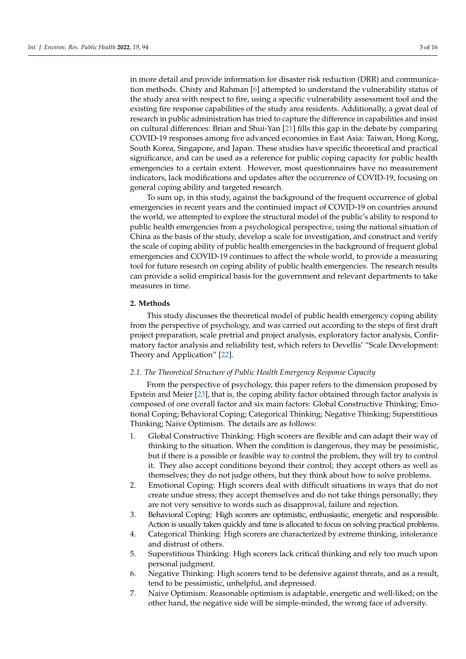in more detail and provide information for disaster risk reduction (DRR) and communication methods. Chisty and Rahman [\[6\]](#page-15-4) attempted to understand the vulnerability status of the study area with respect to fire, using a specific vulnerability assessment tool and the existing fire response capabilities of the study area residents. Additionally, a great deal of research in public administration has tried to capture the difference in capabilities and insist on cultural differences: Brian and Shui-Yan [\[21\]](#page-16-14) fills this gap in the debate by comparing COVID-19 responses among five advanced economies in East Asia: Taiwan, Hong Kong, South Korea, Singapore, and Japan. These studies have specific theoretical and practical significance, and can be used as a reference for public coping capacity for public health emergencies to a certain extent. However, most questionnaires have no measurement indicators, lack modifications and updates after the occurrence of COVID-19, focusing on general coping ability and targeted research.

To sum up, in this study, against the background of the frequent occurrence of global emergencies in recent years and the continued impact of COVID-19 on countries around the world, we attempted to explore the structural model of the public's ability to respond to public health emergencies from a psychological perspective, using the national situation of China as the basis of the study, develop a scale for investigation, and construct and verify the scale of coping ability of public health emergencies in the background of frequent global emergencies and COVID-19 continues to affect the whole world, to provide a measuring tool for future research on coping ability of public health emergencies. The research results can provide a solid empirical basis for the government and relevant departments to take measures in time.

#### **2. Methods**

This study discusses the theoretical model of public health emergency coping ability from the perspective of psychology, and was carried out according to the steps of first draft project preparation, scale pretrial and project analysis, exploratory factor analysis, Confirmatory factor analysis and reliability test, which refers to Devellis' "Scale Development: Theory and Application" [\[22\]](#page-16-15).

#### *2.1. The Theoretical Structure of Public Health Emergency Response Capacity*

From the perspective of psychology, this paper refers to the dimension proposed by Epstein and Meier [\[23\]](#page-16-16), that is, the coping ability factor obtained through factor analysis is composed of one overall factor and six main factors: Global Constructive Thinking; Emotional Coping; Behavioral Coping; Categorical Thinking; Negative Thinking; Superstitious Thinking; Naive Optimism. The details are as follows:

- 1. Global Constructive Thinking: High scorers are flexible and can adapt their way of thinking to the situation. When the condition is dangerous, they may be pessimistic, but if there is a possible or feasible way to control the problem, they will try to control it. They also accept conditions beyond their control; they accept others as well as themselves; they do not judge others, but they think about how to solve problems.
- 2. Emotional Coping: High scorers deal with difficult situations in ways that do not create undue stress; they accept themselves and do not take things personally; they are not very sensitive to words such as disapproval, failure and rejection.
- 3. Behavioral Coping: High scorers are optimistic, enthusiastic, energetic and responsible. Action is usually taken quickly and time is allocated to focus on solving practical problems.
- 4. Categorical Thinking: High scorers are characterized by extreme thinking, intolerance and distrust of others.
- 5. Superstitious Thinking: High scorers lack critical thinking and rely too much upon personal judgment.
- 6. Negative Thinking: High scorers tend to be defensive against threats, and as a result, tend to be pessimistic, unhelpful, and depressed.
- 7. Naive Optimism: Reasonable optimism is adaptable, energetic and well-liked; on the other hand, the negative side will be simple-minded, the wrong face of adversity.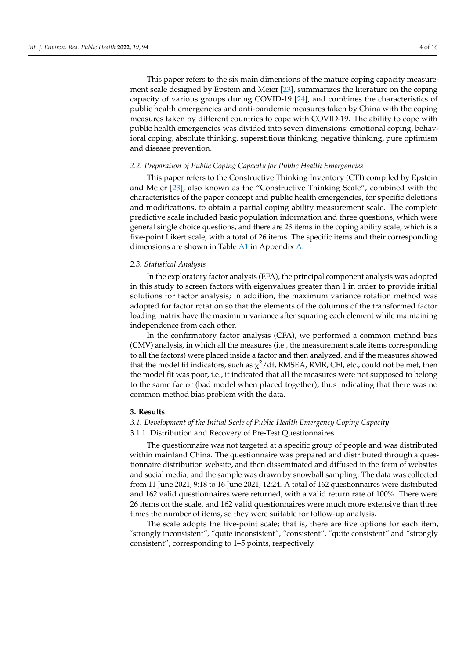This paper refers to the six main dimensions of the mature coping capacity measurement scale designed by Epstein and Meier [\[23\]](#page-16-16), summarizes the literature on the coping capacity of various groups during COVID-19 [\[24\]](#page-16-17), and combines the characteristics of public health emergencies and anti-pandemic measures taken by China with the coping measures taken by different countries to cope with COVID-19. The ability to cope with public health emergencies was divided into seven dimensions: emotional coping, behavioral coping, absolute thinking, superstitious thinking, negative thinking, pure optimism and disease prevention.

#### *2.2. Preparation of Public Coping Capacity for Public Health Emergencies*

This paper refers to the Constructive Thinking Inventory (CTI) compiled by Epstein and Meier [\[23\]](#page-16-16), also known as the "Constructive Thinking Scale", combined with the characteristics of the paper concept and public health emergencies, for specific deletions and modifications, to obtain a partial coping ability measurement scale. The complete predictive scale included basic population information and three questions, which were general single choice questions, and there are 23 items in the coping ability scale, which is a five-point Likert scale, with a total of 26 items. The specific items and their corresponding dimensions are shown in Table [A1](#page-14-0) in Appendix [A.](#page-14-1)

#### *2.3. Statistical Analysis*

In the exploratory factor analysis (EFA), the principal component analysis was adopted in this study to screen factors with eigenvalues greater than 1 in order to provide initial solutions for factor analysis; in addition, the maximum variance rotation method was adopted for factor rotation so that the elements of the columns of the transformed factor loading matrix have the maximum variance after squaring each element while maintaining independence from each other.

In the confirmatory factor analysis (CFA), we performed a common method bias (CMV) analysis, in which all the measures (i.e., the measurement scale items corresponding to all the factors) were placed inside a factor and then analyzed, and if the measures showed that the model fit indicators, such as  $\chi^2/\text{df}$ , RMSEA, RMR, CFI, etc., could not be met, then the model fit was poor, i.e., it indicated that all the measures were not supposed to belong to the same factor (bad model when placed together), thus indicating that there was no common method bias problem with the data.

#### **3. Results**

#### *3.1. Development of the Initial Scale of Public Health Emergency Coping Capacity*

#### 3.1.1. Distribution and Recovery of Pre-Test Questionnaires

The questionnaire was not targeted at a specific group of people and was distributed within mainland China. The questionnaire was prepared and distributed through a questionnaire distribution website, and then disseminated and diffused in the form of websites and social media, and the sample was drawn by snowball sampling. The data was collected from 11 June 2021, 9:18 to 16 June 2021, 12:24. A total of 162 questionnaires were distributed and 162 valid questionnaires were returned, with a valid return rate of 100%. There were 26 items on the scale, and 162 valid questionnaires were much more extensive than three times the number of items, so they were suitable for follow-up analysis.

The scale adopts the five-point scale; that is, there are five options for each item, "strongly inconsistent", "quite inconsistent", "consistent", "quite consistent" and "strongly consistent", corresponding to 1–5 points, respectively.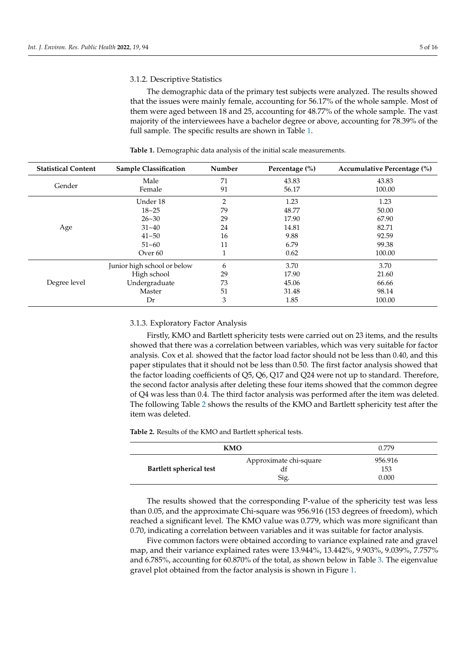#### 3.1.2. Descriptive Statistics

The demographic data of the primary test subjects were analyzed. The results showed that the issues were mainly female, accounting for 56.17% of the whole sample. Most of them were aged between 18 and 25, accounting for 48.77% of the whole sample. The vast majority of the interviewees have a bachelor degree or above, accounting for 78.39% of the full sample. The specific results are shown in Table [1.](#page-5-0)

| <b>Statistical Content</b> | <b>Sample Classification</b> | Number       | Percentage (%) | Accumulative Percentage (%) |
|----------------------------|------------------------------|--------------|----------------|-----------------------------|
|                            | Male                         | 71           | 43.83          | 43.83                       |
| Gender                     | Female                       | 91           | 56.17          | 100.00                      |
|                            | Under 18                     | 2            | 1.23           | 1.23                        |
|                            | $18 - 25$                    | 79           | 48.77          | 50.00                       |
|                            | $26 - 30$                    | 29           | 17.90          | 67.90                       |
| Age                        | $31 - 40$                    | 24           | 14.81          | 82.71                       |
|                            | $41 - 50$                    | 16           | 9.88           | 92.59                       |
|                            | $51 - 60$                    | 11           | 6.79           | 99.38                       |
|                            | Over 60                      | $\mathbf{1}$ | 0.62           | 100.00                      |
|                            | Junior high school or below  | 6            | 3.70           | 3.70                        |
|                            | High school                  | 29           | 17.90          | 21.60                       |
| Degree level               | Undergraduate                | 73           | 45.06          | 66.66                       |
|                            | Master                       | 51           | 31.48          | 98.14                       |
|                            | Dr                           | 3            | 1.85           | 100.00                      |

<span id="page-5-0"></span>**Table 1.** Demographic data analysis of the initial scale measurements.

#### 3.1.3. Exploratory Factor Analysis

Firstly, KMO and Bartlett sphericity tests were carried out on 23 items, and the results showed that there was a correlation between variables, which was very suitable for factor analysis. Cox et al. showed that the factor load factor should not be less than 0.40, and this paper stipulates that it should not be less than 0.50. The first factor analysis showed that the factor loading coefficients of Q5, Q6, Q17 and Q24 were not up to standard. Therefore, the second factor analysis after deleting these four items showed that the common degree of Q4 was less than 0.4. The third factor analysis was performed after the item was deleted. The following Table [2](#page-5-1) shows the results of the KMO and Bartlett sphericity test after the item was deleted.

<span id="page-5-1"></span>**Table 2.** Results of the KMO and Bartlett spherical tests.

|                         | KMO                                  |                         |  |
|-------------------------|--------------------------------------|-------------------------|--|
| Bartlett spherical test | Approximate chi-square<br>dг<br>Sig. | 956.916<br>153<br>0.000 |  |

The results showed that the corresponding P-value of the sphericity test was less than 0.05, and the approximate Chi-square was 956.916 (153 degrees of freedom), which reached a significant level. The KMO value was 0.779, which was more significant than 0.70, indicating a correlation between variables and it was suitable for factor analysis.

Five common factors were obtained according to variance explained rate and gravel map, and their variance explained rates were 13.944%, 13.442%, 9.903%, 9.039%, 7.757% and 6.785%, accounting for 60.870% of the total, as shown below in Table [3.](#page-6-0) The eigenvalue gravel plot obtained from the factor analysis is shown in Figure [1.](#page-6-1)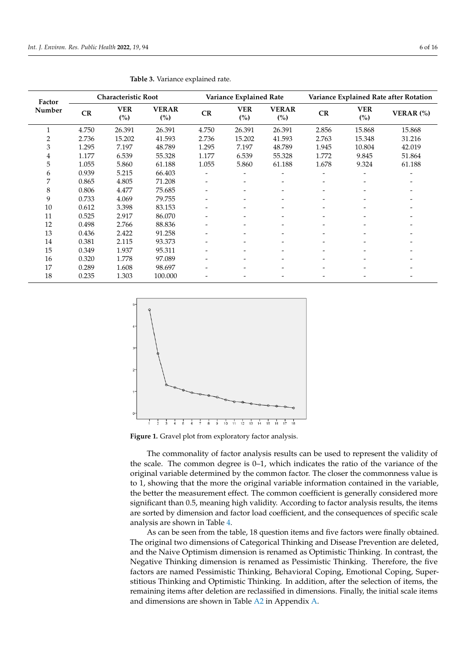|        |       |                            | <b>Table 3.</b> Variance explained rate. |       |                              |                               |                          |                                        |           |  |
|--------|-------|----------------------------|------------------------------------------|-------|------------------------------|-------------------------------|--------------------------|----------------------------------------|-----------|--|
| Factor |       | <b>Characteristic Root</b> |                                          |       | Variance Explained Rate      |                               |                          | Variance Explained Rate after Rotation |           |  |
| Number | CR    | <b>VER</b><br>(%)          | <b>VERAR</b><br>$\binom{0}{0}$           | CR    | <b>VER</b><br>(%)            | <b>VERAR</b><br>$\frac{6}{2}$ | CR                       | <b>VER</b><br>(%)                      | VERAR (%) |  |
|        | 4.750 | 26.391                     | 26.391                                   | 4.750 | 26.391                       | 26.391                        | 2.856                    | 15.868                                 | 15.868    |  |
| 2      | 2.736 | 15.202                     | 41.593                                   | 2.736 | 15.202                       | 41.593                        | 2.763                    | 15.348                                 | 31.216    |  |
| 3      | 1.295 | 7.197                      | 48.789                                   | 1.295 | 7.197                        | 48.789                        | 1.945                    | 10.804                                 | 42.019    |  |
| 4      | 1.177 | 6.539                      | 55.328                                   | 1.177 | 6.539                        | 55.328                        | 1.772                    | 9.845                                  | 51.864    |  |
| 5      | 1.055 | 5.860                      | 61.188                                   | 1.055 | 5.860                        | 61.188                        | 1.678                    | 9.324                                  | 61.188    |  |
| 6      | 0.939 | 5.215                      | 66.403                                   |       |                              |                               | ۰                        |                                        |           |  |
| 7      | 0.865 | 4.805                      | 71.208                                   |       |                              |                               | $\overline{\phantom{a}}$ |                                        |           |  |
| 8      | 0.806 | 4.477                      | 75.685                                   |       | $\qquad \qquad \blacksquare$ |                               | $\overline{\phantom{a}}$ | $\overline{\phantom{a}}$               |           |  |
| 9      | 0.733 | 4.069                      | 79.755                                   |       |                              |                               |                          |                                        |           |  |
| 10     | 0.612 | 3.398                      | 83.153                                   |       |                              |                               |                          |                                        |           |  |
| 11     | 0.525 | 2.917                      | 86.070                                   |       |                              |                               |                          |                                        |           |  |
| 12     | 0.498 | 2.766                      | 88.836                                   |       |                              |                               |                          |                                        |           |  |
| 13     | 0.436 | 2.422                      | 91.258                                   |       |                              |                               |                          |                                        |           |  |
| 14     | 0.381 | 2.115                      | 93.373                                   |       | $\overline{\phantom{0}}$     |                               | $\qquad \qquad$          |                                        |           |  |
| 15     | 0.349 | 1.937                      | 95.311                                   |       |                              |                               |                          |                                        |           |  |
| 16     | 0.320 | 1.778                      | 97.089                                   |       |                              |                               |                          |                                        |           |  |
| 17     | 0.289 | 1.608                      | 98.697                                   |       |                              |                               |                          |                                        |           |  |
| 18     | 0.235 | 1.303                      | 100.000                                  |       |                              |                               |                          |                                        |           |  |

<span id="page-6-0"></span>

<span id="page-6-1"></span>

**Figure 1.** Gravel plot from exploratory factor analysis **Figure 1.** Gravel plot from exploratory factor analysis.

The commonality of factor analysis results can be used to represent the validity of The commonality of factor analysis results can be used to represent the validity of the scale. The common degree is  $0-1$ , which indicates the ratio of the variance of the original variable determined by the common factor. The closer the commonness value is to 1, showing that the more the original variable information contained in the variable, the better the measurement effect. The common coefficient is generally considered more significant than 0.5, meaning high validity. According to factor analysis results, the items is sorted by dimension and factor load coefficient, and the consequences of specific scale are sorted by dimension and factor load coefficient, and the consequences of specific scale analysis are shown in Table [4.](#page-7-0)

As can be seen from the table, 18 question items and five factors were finally obtained.<br>As can be seen from the table, 18 question items and five factors were finally obtained. The original two dimensions of Categorical Thinking and Disease Prevention are deleted, and the Naive Optimism dimension is renamed as Optimistic Thinking. In contrast, the Negative Thinking dimension is renamed as Pessimistic Thinking. Therefore, the five factors are named Pessimistic Thinking, Behavioral Coping, Emotional Coping, Superstitious Thinking and Optimistic Thinking. In addition, after the selection of items, the remaining items after deletion are reclassified in dimensions. Finally, the initial scale items and dimensions are shown in Table [A2](#page-15-5) in Appendix [A.](#page-14-1)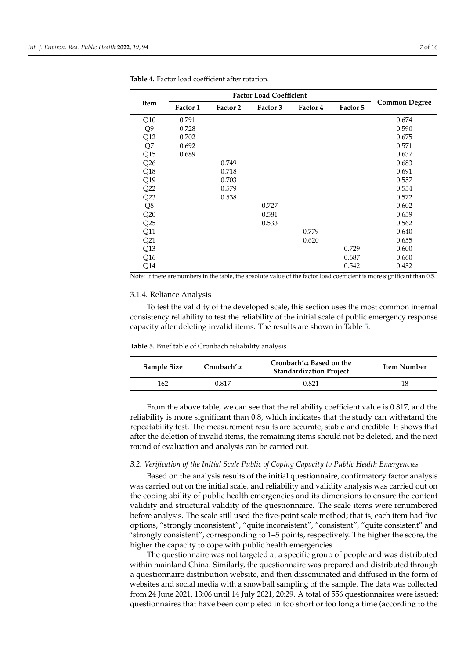| Item           | Factor 1 | Factor 2 | Factor 3 | Factor 4 | Factor 5 | <b>Common Degree</b> |
|----------------|----------|----------|----------|----------|----------|----------------------|
| Q10            | 0.791    |          |          |          |          | 0.674                |
| Q <sub>9</sub> | 0.728    |          |          |          |          | 0.590                |
| Q12            | 0.702    |          |          |          |          | 0.675                |
| Q7             | 0.692    |          |          |          |          | 0.571                |
| Q15            | 0.689    |          |          |          |          | 0.637                |
| Q26            |          | 0.749    |          |          |          | 0.683                |
| Q18            |          | 0.718    |          |          |          | 0.691                |
| Q19            |          | 0.703    |          |          |          | 0.557                |
| Q22            |          | 0.579    |          |          |          | 0.554                |
| Q23            |          | 0.538    |          |          |          | 0.572                |
| Q8             |          |          | 0.727    |          |          | 0.602                |
| Q20            |          |          | 0.581    |          |          | 0.659                |
| Q25            |          |          | 0.533    |          |          | 0.562                |
| Q11            |          |          |          | 0.779    |          | 0.640                |
| Q21            |          |          |          | 0.620    |          | 0.655                |
| Q13            |          |          |          |          | 0.729    | 0.600                |
| Q16            |          |          |          |          | 0.687    | 0.660                |
| Q14            |          |          |          |          | 0.542    | 0.432                |

<span id="page-7-0"></span>**Table 4.** Factor load coefficient after rotation.

Note: If there are numbers in the table, the absolute value of the factor load coefficient is more significant than 0.5.

#### 3.1.4. Reliance Analysis

To test the validity of the developed scale, this section uses the most common internal consistency reliability to test the reliability of the initial scale of public emergency response capacity after deleting invalid items. The results are shown in Table [5.](#page-7-1)

<span id="page-7-1"></span>**Table 5.** Brief table of Cronbach reliability analysis.

| Sample Size | Cronbach' $\alpha$ | Cronbach' $\alpha$ Based on the<br><b>Standardization Project</b> | Item Number |
|-------------|--------------------|-------------------------------------------------------------------|-------------|
| 162         | 0.817              | 0.821                                                             |             |

From the above table, we can see that the reliability coefficient value is 0.817, and the reliability is more significant than 0.8, which indicates that the study can withstand the repeatability test. The measurement results are accurate, stable and credible. It shows that after the deletion of invalid items, the remaining items should not be deleted, and the next round of evaluation and analysis can be carried out.

#### *3.2. Verification of the Initial Scale Public of Coping Capacity to Public Health Emergencies*

Based on the analysis results of the initial questionnaire, confirmatory factor analysis was carried out on the initial scale, and reliability and validity analysis was carried out on the coping ability of public health emergencies and its dimensions to ensure the content validity and structural validity of the questionnaire. The scale items were renumbered before analysis. The scale still used the five-point scale method; that is, each item had five options, "strongly inconsistent", "quite inconsistent", "consistent", "quite consistent" and "strongly consistent", corresponding to 1–5 points, respectively. The higher the score, the higher the capacity to cope with public health emergencies.

The questionnaire was not targeted at a specific group of people and was distributed within mainland China. Similarly, the questionnaire was prepared and distributed through a questionnaire distribution website, and then disseminated and diffused in the form of websites and social media with a snowball sampling of the sample. The data was collected from 24 June 2021, 13:06 until 14 July 2021, 20:29. A total of 556 questionnaires were issued; questionnaires that have been completed in too short or too long a time (according to the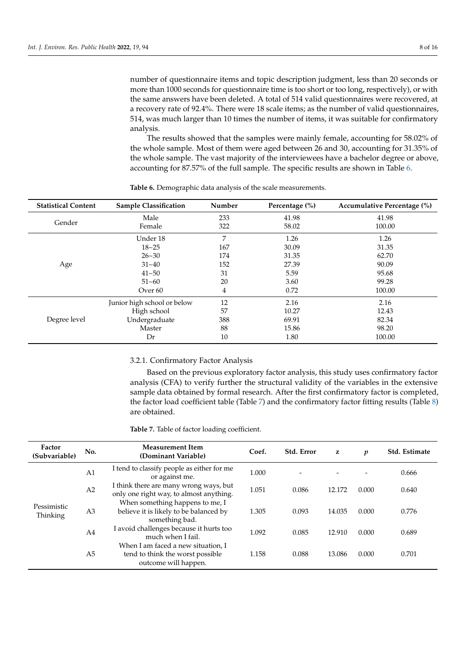number of questionnaire items and topic description judgment, less than 20 seconds or more than 1000 seconds for questionnaire time is too short or too long, respectively), or with the same answers have been deleted. A total of 514 valid questionnaires were recovered, at a recovery rate of 92.4%. There were 18 scale items; as the number of valid questionnaires, 514, was much larger than 10 times the number of items, it was suitable for confirmatory analysis.

The results showed that the samples were mainly female, accounting for 58.02% of the whole sample. Most of them were aged between 26 and 30, accounting for 31.35% of the whole sample. The vast majority of the interviewees have a bachelor degree or above, accounting for 87.57% of the full sample. The specific results are shown in Table [6.](#page-8-0)

| <b>Statistical Content</b> | <b>Sample Classification</b> | Number | Percentage (%) | Accumulative Percentage (%) |
|----------------------------|------------------------------|--------|----------------|-----------------------------|
|                            | Male                         | 233    | 41.98          | 41.98                       |
| Gender                     | Female                       | 322    | 58.02          | 100.00                      |
| Age                        | Under 18                     | 7      | 1.26           | 1.26                        |
|                            | $18 - 25$                    | 167    | 30.09          | 31.35                       |
|                            | $26 - 30$                    | 174    | 31.35          | 62.70                       |
|                            | $31 - 40$                    | 152    | 27.39          | 90.09                       |
|                            | $41 - 50$                    | 31     | 5.59           | 95.68                       |
|                            | $51 - 60$                    | 20     | 3.60           | 99.28                       |
|                            | Over <sub>60</sub>           | 4      | 0.72           | 100.00                      |
|                            | Junior high school or below  | 12     | 2.16           | 2.16                        |
|                            | High school                  | 57     | 10.27          | 12.43                       |
| Degree level               | Undergraduate                | 388    | 69.91          | 82.34                       |
|                            | Master                       | 88     | 15.86          | 98.20                       |
|                            | Dr                           | 10     | 1.80           | 100.00                      |

<span id="page-8-0"></span>**Table 6.** Demographic data analysis of the scale measurements.

# 3.2.1. Confirmatory Factor Analysis

Based on the previous exploratory factor analysis, this study uses confirmatory factor analysis (CFA) to verify further the structural validity of the variables in the extensive sample data obtained by formal research. After the first confirmatory factor is completed, the factor load coefficient table (Table [7\)](#page-9-0) and the confirmatory factor fitting results (Table [8\)](#page-9-1) are obtained.

**Table 7.** Table of factor loading coefficient.

| Factor<br>(Subvariable)        | No.                                                                               | <b>Measurement Item</b><br>(Dominant Variable)                                                 | Coef. | Std. Error | z      | p     | Std. Estimate |
|--------------------------------|-----------------------------------------------------------------------------------|------------------------------------------------------------------------------------------------|-------|------------|--------|-------|---------------|
|                                | A1                                                                                | I tend to classify people as either for me<br>or against me.                                   | 1.000 |            |        |       | 0.666         |
| A <sub>2</sub>                 | I think there are many wrong ways, but<br>only one right way, to almost anything. | 1.051                                                                                          | 0.086 | 12.172     | 0.000  | 0.640 |               |
| Pessimistic<br><b>Thinking</b> | A <sub>3</sub>                                                                    | When something happens to me, I<br>believe it is likely to be balanced by<br>something bad.    | 1.305 | 0.093      | 14.035 | 0.000 | 0.776         |
|                                | A <sub>4</sub>                                                                    | I avoid challenges because it hurts too<br>much when I fail.                                   | 1.092 | 0.085      | 12.910 | 0.000 | 0.689         |
|                                | A <sub>5</sub>                                                                    | When I am faced a new situation, I<br>tend to think the worst possible<br>outcome will happen. | 1.158 | 0.088      | 13.086 | 0.000 | 0.701         |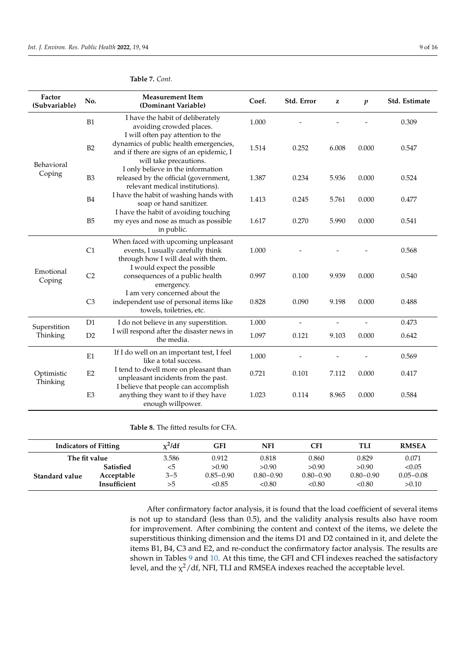| Factor<br>(Subvariable) | No.            | <b>Measurement Item</b><br>(Dominant Variable)                                                                 | Coef. | Std. Error | z     | $\boldsymbol{p}$ | Std. Estimate |
|-------------------------|----------------|----------------------------------------------------------------------------------------------------------------|-------|------------|-------|------------------|---------------|
|                         | B1             | I have the habit of deliberately<br>avoiding crowded places.<br>I will often pay attention to the              | 1.000 |            |       |                  | 0.309         |
| Behavioral              | B2             | dynamics of public health emergencies,<br>and if there are signs of an epidemic, I<br>will take precautions.   | 1.514 | 0.252      | 6.008 | 0.000            | 0.547         |
| Coping                  | B <sub>3</sub> | I only believe in the information<br>released by the official (government,<br>relevant medical institutions).  | 1.387 | 0.234      | 5.936 | 0.000            | 0.524         |
|                         | B <sub>4</sub> | I have the habit of washing hands with<br>soap or hand sanitizer.                                              | 1.413 | 0.245      | 5.761 | 0.000            | 0.477         |
|                         | B <sub>5</sub> | I have the habit of avoiding touching<br>my eyes and nose as much as possible<br>in public.                    | 1.617 | 0.270      | 5.990 | 0.000            | 0.541         |
|                         | C1             | When faced with upcoming unpleasant<br>events, I usually carefully think<br>through how I will deal with them. | 1.000 |            |       |                  | 0.568         |
| Emotional<br>Coping     | C <sub>2</sub> | I would expect the possible<br>consequences of a public health<br>emergency.                                   | 0.997 | 0.100      | 9.939 | 0.000            | 0.540         |
|                         | C <sub>3</sub> | I am very concerned about the<br>independent use of personal items like<br>towels, toiletries, etc.            | 0.828 | 0.090      | 9.198 | 0.000            | 0.488         |
| Superstition            | D <sub>1</sub> | I do not believe in any superstition.                                                                          | 1.000 |            |       |                  | 0.473         |
| Thinking                | D <sub>2</sub> | I will respond after the disaster news in<br>the media.                                                        | 1.097 | 0.121      | 9.103 | 0.000            | 0.642         |
|                         | E1             | If I do well on an important test, I feel<br>like a total success.                                             | 1.000 |            |       |                  | 0.569         |
| Optimistic<br>Thinking  | E2             | I tend to dwell more on pleasant than<br>unpleasant incidents from the past.                                   | 0.721 | 0.101      | 7.112 | 0.000            | 0.417         |
|                         | E <sub>3</sub> | I believe that people can accomplish<br>anything they want to if they have<br>enough willpower.                | 1.023 | 0.114      | 8.965 | 0.000            | 0.584         |

#### <span id="page-9-0"></span>**Table 7.** *Cont.*

<span id="page-9-1"></span>**Table 8.** The fitted results for CFA.

| <b>Indicators of Fitting</b> |                  | $x^2$ /df | GFI           | NFI           | CFI           | TLI           | <b>RMSEA</b>  |
|------------------------------|------------------|-----------|---------------|---------------|---------------|---------------|---------------|
| The fit value                |                  | 3.586     | 0.912         | 0.818         | 0.860         | 0.829         | 0.071         |
|                              | <b>Satisfied</b> | <5        | > 0.90        | > 0.90        | > 0.90        | > 0.90        | < 0.05        |
| Standard value               | Acceptable       | 3~5       | $0.85 - 0.90$ | $0.80 - 0.90$ | $0.80 - 0.90$ | $0.80 - 0.90$ | $0.05 - 0.08$ |
|                              | Insufficient     | >5        | < 0.85        | < 0.80        | < 0.80        | < 0.80        | >0.10         |

After confirmatory factor analysis, it is found that the load coefficient of several items is not up to standard (less than 0.5), and the validity analysis results also have room for improvement. After combining the content and context of the items, we delete the superstitious thinking dimension and the items D1 and D2 contained in it, and delete the items B1, B4, C3 and E2, and re-conduct the confirmatory factor analysis. The results are shown in Tables [9](#page-10-0) and [10.](#page-10-1) At this time, the GFI and CFI indexes reached the satisfactory level, and the  $\chi^2/\mathrm{df}$ , NFI, TLI and RMSEA indexes reached the acceptable level.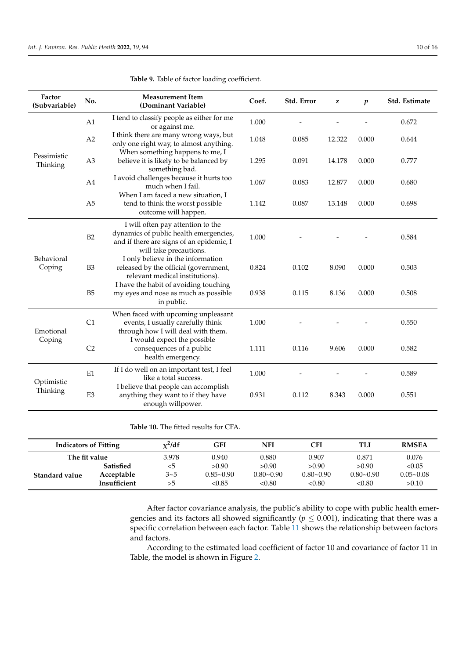| Factor<br>(Subvariable) | No.            | <b>Measurement Item</b><br>(Dominant Variable)                                                                                                    | Coef. | Std. Error | z      | $\boldsymbol{p}$ | Std. Estimate |
|-------------------------|----------------|---------------------------------------------------------------------------------------------------------------------------------------------------|-------|------------|--------|------------------|---------------|
|                         | A1             | I tend to classify people as either for me<br>or against me.                                                                                      | 1.000 |            |        |                  | 0.672         |
|                         | A2             | I think there are many wrong ways, but<br>only one right way, to almost anything.                                                                 | 1.048 | 0.085      | 12.322 | 0.000            | 0.644         |
| Pessimistic<br>Thinking | A <sub>3</sub> | When something happens to me, I<br>believe it is likely to be balanced by<br>something bad.                                                       | 1.295 | 0.091      | 14.178 | 0.000            | 0.777         |
|                         | A4             | I avoid challenges because it hurts too<br>much when I fail.                                                                                      | 1.067 | 0.083      | 12.877 | 0.000            | 0.680         |
|                         | A <sub>5</sub> | When I am faced a new situation, I<br>tend to think the worst possible<br>outcome will happen.                                                    | 1.142 | 0.087      | 13.148 | 0.000            | 0.698         |
|                         | B2             | I will often pay attention to the<br>dynamics of public health emergencies,<br>and if there are signs of an epidemic, I<br>will take precautions. | 1.000 |            |        |                  | 0.584         |
| Behavioral<br>Coping    | B <sub>3</sub> | I only believe in the information<br>released by the official (government,<br>relevant medical institutions).                                     | 0.824 | 0.102      | 8.090  | 0.000            | 0.503         |
|                         | B <sub>5</sub> | I have the habit of avoiding touching<br>my eyes and nose as much as possible<br>in public.                                                       | 0.938 | 0.115      | 8.136  | 0.000            | 0.508         |
| Emotional               | C1             | When faced with upcoming unpleasant<br>events, I usually carefully think<br>through how I will deal with them.                                    | 1.000 |            |        |                  | 0.550         |
| Coping                  | C <sub>2</sub> | I would expect the possible<br>consequences of a public<br>health emergency.                                                                      | 1.111 | 0.116      | 9.606  | 0.000            | 0.582         |
| Optimistic              | E1             | If I do well on an important test, I feel<br>like a total success.                                                                                | 1.000 |            |        |                  | 0.589         |
| Thinking                | E <sub>3</sub> | I believe that people can accomplish<br>anything they want to if they have<br>enough willpower.                                                   | 0.931 | 0.112      | 8.343  | 0.000            | 0.551         |

<span id="page-10-0"></span>**Table 9.** Table of factor loading coefficient.

<span id="page-10-1"></span>**Table 10.** The fitted results for CFA.

| <b>Indicators of Fitting</b> |                  | $x^2$ /df | GFI           | NFI           | CFI           | TLI           | <b>RMSEA</b>  |
|------------------------------|------------------|-----------|---------------|---------------|---------------|---------------|---------------|
| The fit value                |                  | 3.978     | 0.940         | 0.880         | 0.907         | 0.871         | 0.076         |
|                              | <b>Satisfied</b> | <5        | >0.90         | > 0.90        | > 0.90        | > 0.90        | < 0.05        |
| Standard value               | Acceptable       | $3 - 5$   | $0.85 - 0.90$ | $0.80 - 0.90$ | $0.80 - 0.90$ | $0.80 - 0.90$ | $0.05 - 0.08$ |
|                              | Insufficient     | >5        | < 0.85        | < 0.80        | < 0.80        | < 0.80        | >0.10         |

After factor covariance analysis, the public's ability to cope with public health emergencies and its factors all showed significantly ( $p \leq 0.001$ ), indicating that there was a specific correlation between each factor. Table [11](#page-11-0) shows the relationship between factors and factors.

According to the estimated load coefficient of factor 10 and covariance of factor 11 in Table, the model is shown in Figure [2.](#page-11-1)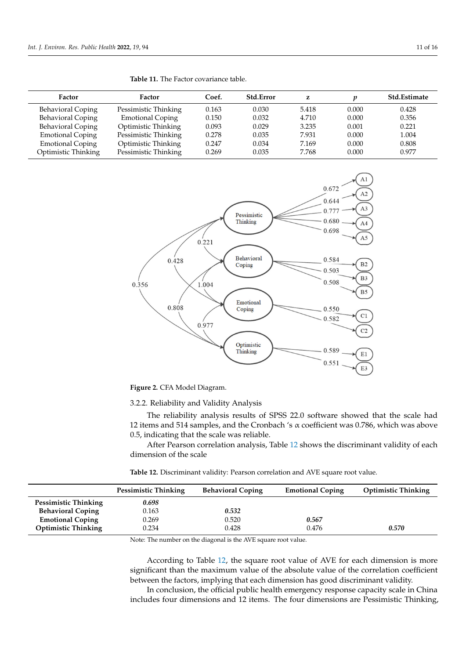| <b>Factor</b>            | <b>Factor</b>           | Coef. | <b>Std.Error</b> | z     | п     | <b>Std.Estimate</b> |
|--------------------------|-------------------------|-------|------------------|-------|-------|---------------------|
| Behavioral Coping        | Pessimistic Thinking    | 0.163 | 0.030            | 5.418 | 0.000 | 0.428               |
| <b>Behavioral Coping</b> | <b>Emotional Coping</b> | 0.150 | 0.032            | 4.710 | 0.000 | 0.356               |
| <b>Behavioral Coping</b> | Optimistic Thinking     | 0.093 | 0.029            | 3.235 | 0.001 | 0.221               |
| <b>Emotional Coping</b>  | Pessimistic Thinking    | 0.278 | 0.035            | 7.931 | 0.000 | 1.004               |
| <b>Emotional Coping</b>  | Optimistic Thinking     | 0.247 | 0.034            | 7.169 | 0.000 | 0.808               |
| Optimistic Thinking      | Pessimistic Thinking    | 0.269 | 0.035            | 7.768 | 0.000 | 0.977               |

<span id="page-11-1"></span><span id="page-11-0"></span>

**Figure 2.** CFA Model Diagram. **Figure 2.** CFA Model Diagram.

3.2.2. Reliability and Validity Analysis

The reliability analysis results of SPSS 22.0 software showed that the scale had 12 items and 514 samples, and the Cronbach 's  $\alpha$  coefficient was 0.786, which was above 0.5, indicating that the scale was reliable.

After Pearson correlation analysis, Table [12](#page-11-2) shows the discriminant validity of each dimension of the scale

<span id="page-11-2"></span>**Table 12.** Discriminant validity: Pearson correlation and AVE square root value.

|                            | <b>Pessimistic Thinking</b> | <b>Behavioral Coping</b> | <b>Emotional Coping</b> | <b>Optimistic Thinking</b> |
|----------------------------|-----------------------------|--------------------------|-------------------------|----------------------------|
| Pessimistic Thinking       | 0.698                       |                          |                         |                            |
| <b>Behavioral Coping</b>   | 0.163                       | 0.532                    |                         |                            |
| <b>Emotional Coping</b>    | 0.269                       | 0.520                    | 0.567                   |                            |
| <b>Optimistic Thinking</b> | 0.234                       | 0.428                    | 0.476                   | 0.570                      |

Note: The number on the diagonal is the AVE square root value.

According to Table [12,](#page-11-2) the square root value of AVE for each dimension is more significant than the maximum value of the absolute value of the correlation coefficient between the factors, implying that each dimension has good discriminant validity.

In conclusion, the official public health emergency response capacity scale in China includes four dimensions and 12 items. The four dimensions are Pessimistic Thinking,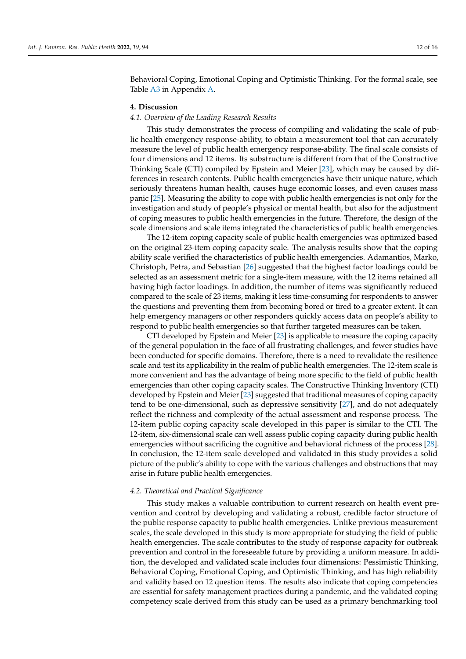Behavioral Coping, Emotional Coping and Optimistic Thinking. For the formal scale, see Table [A3](#page-15-6) in Appendix [A.](#page-14-1)

#### **4. Discussion**

#### *4.1. Overview of the Leading Research Results*

This study demonstrates the process of compiling and validating the scale of public health emergency response-ability, to obtain a measurement tool that can accurately measure the level of public health emergency response-ability. The final scale consists of four dimensions and 12 items. Its substructure is different from that of the Constructive Thinking Scale (CTI) compiled by Epstein and Meier [\[23\]](#page-16-16), which may be caused by differences in research contents. Public health emergencies have their unique nature, which seriously threatens human health, causes huge economic losses, and even causes mass panic [\[25\]](#page-16-18). Measuring the ability to cope with public health emergencies is not only for the investigation and study of people's physical or mental health, but also for the adjustment of coping measures to public health emergencies in the future. Therefore, the design of the scale dimensions and scale items integrated the characteristics of public health emergencies.

The 12-item coping capacity scale of public health emergencies was optimized based on the original 23-item coping capacity scale. The analysis results show that the coping ability scale verified the characteristics of public health emergencies. Adamantios, Marko, Christoph, Petra, and Sebastian [\[26\]](#page-16-19) suggested that the highest factor loadings could be selected as an assessment metric for a single-item measure, with the 12 items retained all having high factor loadings. In addition, the number of items was significantly reduced compared to the scale of 23 items, making it less time-consuming for respondents to answer the questions and preventing them from becoming bored or tired to a greater extent. It can help emergency managers or other responders quickly access data on people's ability to respond to public health emergencies so that further targeted measures can be taken.

CTI developed by Epstein and Meier [\[23\]](#page-16-16) is applicable to measure the coping capacity of the general population in the face of all frustrating challenges, and fewer studies have been conducted for specific domains. Therefore, there is a need to revalidate the resilience scale and test its applicability in the realm of public health emergencies. The 12-item scale is more convenient and has the advantage of being more specific to the field of public health emergencies than other coping capacity scales. The Constructive Thinking Inventory (CTI) developed by Epstein and Meier [\[23\]](#page-16-16) suggested that traditional measures of coping capacity tend to be one-dimensional, such as depressive sensitivity [\[27\]](#page-16-20), and do not adequately reflect the richness and complexity of the actual assessment and response process. The 12-item public coping capacity scale developed in this paper is similar to the CTI. The 12-item, six-dimensional scale can well assess public coping capacity during public health emergencies without sacrificing the cognitive and behavioral richness of the process [\[28\]](#page-16-21). In conclusion, the 12-item scale developed and validated in this study provides a solid picture of the public's ability to cope with the various challenges and obstructions that may arise in future public health emergencies.

#### *4.2. Theoretical and Practical Significance*

This study makes a valuable contribution to current research on health event prevention and control by developing and validating a robust, credible factor structure of the public response capacity to public health emergencies. Unlike previous measurement scales, the scale developed in this study is more appropriate for studying the field of public health emergencies. The scale contributes to the study of response capacity for outbreak prevention and control in the foreseeable future by providing a uniform measure. In addition, the developed and validated scale includes four dimensions: Pessimistic Thinking, Behavioral Coping, Emotional Coping, and Optimistic Thinking, and has high reliability and validity based on 12 question items. The results also indicate that coping competencies are essential for safety management practices during a pandemic, and the validated coping competency scale derived from this study can be used as a primary benchmarking tool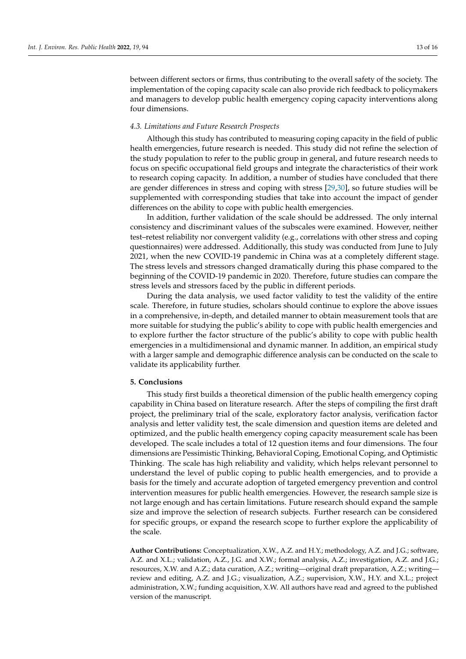between different sectors or firms, thus contributing to the overall safety of the society. The implementation of the coping capacity scale can also provide rich feedback to policymakers and managers to develop public health emergency coping capacity interventions along four dimensions.

#### *4.3. Limitations and Future Research Prospects*

Although this study has contributed to measuring coping capacity in the field of public health emergencies, future research is needed. This study did not refine the selection of the study population to refer to the public group in general, and future research needs to focus on specific occupational field groups and integrate the characteristics of their work to research coping capacity. In addition, a number of studies have concluded that there are gender differences in stress and coping with stress [\[29](#page-16-22)[,30\]](#page-16-23), so future studies will be supplemented with corresponding studies that take into account the impact of gender differences on the ability to cope with public health emergencies.

In addition, further validation of the scale should be addressed. The only internal consistency and discriminant values of the subscales were examined. However, neither test–retest reliability nor convergent validity (e.g., correlations with other stress and coping questionnaires) were addressed. Additionally, this study was conducted from June to July 2021, when the new COVID-19 pandemic in China was at a completely different stage. The stress levels and stressors changed dramatically during this phase compared to the beginning of the COVID-19 pandemic in 2020. Therefore, future studies can compare the stress levels and stressors faced by the public in different periods.

During the data analysis, we used factor validity to test the validity of the entire scale. Therefore, in future studies, scholars should continue to explore the above issues in a comprehensive, in-depth, and detailed manner to obtain measurement tools that are more suitable for studying the public's ability to cope with public health emergencies and to explore further the factor structure of the public's ability to cope with public health emergencies in a multidimensional and dynamic manner. In addition, an empirical study with a larger sample and demographic difference analysis can be conducted on the scale to validate its applicability further.

#### **5. Conclusions**

This study first builds a theoretical dimension of the public health emergency coping capability in China based on literature research. After the steps of compiling the first draft project, the preliminary trial of the scale, exploratory factor analysis, verification factor analysis and letter validity test, the scale dimension and question items are deleted and optimized, and the public health emergency coping capacity measurement scale has been developed. The scale includes a total of 12 question items and four dimensions. The four dimensions are Pessimistic Thinking, Behavioral Coping, Emotional Coping, and Optimistic Thinking. The scale has high reliability and validity, which helps relevant personnel to understand the level of public coping to public health emergencies, and to provide a basis for the timely and accurate adoption of targeted emergency prevention and control intervention measures for public health emergencies. However, the research sample size is not large enough and has certain limitations. Future research should expand the sample size and improve the selection of research subjects. Further research can be considered for specific groups, or expand the research scope to further explore the applicability of the scale.

**Author Contributions:** Conceptualization, X.W., A.Z. and H.Y.; methodology, A.Z. and J.G.; software, A.Z. and X.L.; validation, A.Z., J.G. and X.W.; formal analysis, A.Z.; investigation, A.Z. and J.G.; resources, X.W. and A.Z.; data curation, A.Z.; writing—original draft preparation, A.Z.; writing review and editing, A.Z. and J.G.; visualization, A.Z.; supervision, X.W., H.Y. and X.L.; project administration, X.W.; funding acquisition, X.W. All authors have read and agreed to the published version of the manuscript.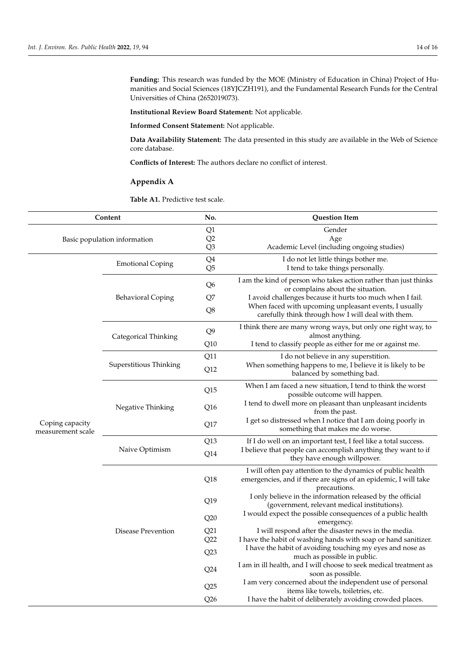**Funding:** This research was funded by the MOE (Ministry of Education in China) Project of Humanities and Social Sciences (18YJCZH191), and the Fundamental Research Funds for the Central Universities of China (2652019073).

**Institutional Review Board Statement:** Not applicable.

**Informed Consent Statement:** Not applicable.

**Data Availability Statement:** The data presented in this study are available in the Web of Science core database.

**Conflicts of Interest:** The authors declare no conflict of interest.

## <span id="page-14-1"></span>**Appendix A**

<span id="page-14-0"></span>**Table A1.** Predictive test scale.

| Content                              |                          | No.                           | <b>Question Item</b>                                                                                                                                                                                                                                                              |  |
|--------------------------------------|--------------------------|-------------------------------|-----------------------------------------------------------------------------------------------------------------------------------------------------------------------------------------------------------------------------------------------------------------------------------|--|
| Basic population information         |                          | Q1<br>Q2<br>Q <sub>3</sub>    | Gender<br>Age<br>Academic Level (including ongoing studies)                                                                                                                                                                                                                       |  |
| Coping capacity<br>measurement scale | <b>Emotional Coping</b>  | Q4<br>Q <sub>5</sub>          | I do not let little things bother me.<br>I tend to take things personally.                                                                                                                                                                                                        |  |
|                                      | <b>Behavioral Coping</b> | Q <sub>6</sub><br>Q7<br>Q8    | I am the kind of person who takes action rather than just thinks<br>or complains about the situation.<br>I avoid challenges because it hurts too much when I fail.<br>When faced with upcoming unpleasant events, I usually<br>carefully think through how I will deal with them. |  |
|                                      | Categorical Thinking     | Q <sub>9</sub><br>Q10         | I think there are many wrong ways, but only one right way, to<br>almost anything.<br>I tend to classify people as either for me or against me.                                                                                                                                    |  |
|                                      | Superstitious Thinking   | Q11<br>Q12                    | I do not believe in any superstition.<br>When something happens to me, I believe it is likely to be<br>balanced by something bad.                                                                                                                                                 |  |
|                                      | Negative Thinking        | Q15<br>Q <sub>16</sub><br>Q17 | When I am faced a new situation, I tend to think the worst<br>possible outcome will happen.<br>I tend to dwell more on pleasant than unpleasant incidents<br>from the past.<br>I get so distressed when I notice that I am doing poorly in<br>something that makes me do worse.   |  |
|                                      | Naive Optimism           | Q13<br>Q14                    | If I do well on an important test, I feel like a total success.<br>I believe that people can accomplish anything they want to if<br>they have enough willpower.                                                                                                                   |  |
|                                      | Disease Prevention       | Q18                           | I will often pay attention to the dynamics of public health<br>emergencies, and if there are signs of an epidemic, I will take<br>precautions.                                                                                                                                    |  |
|                                      |                          | Q19<br>Q20                    | I only believe in the information released by the official<br>(government, relevant medical institutions).<br>I would expect the possible consequences of a public health<br>emergency.                                                                                           |  |
|                                      |                          | Q21<br>Q22<br>Q23             | I will respond after the disaster news in the media.<br>I have the habit of washing hands with soap or hand sanitizer.<br>I have the habit of avoiding touching my eyes and nose as                                                                                               |  |
|                                      |                          | Q24                           | much as possible in public.<br>I am in ill health, and I will choose to seek medical treatment as<br>soon as possible.<br>I am very concerned about the independent use of personal                                                                                               |  |
|                                      |                          | Q25<br>Q26                    | items like towels, toiletries, etc.<br>I have the habit of deliberately avoiding crowded places.                                                                                                                                                                                  |  |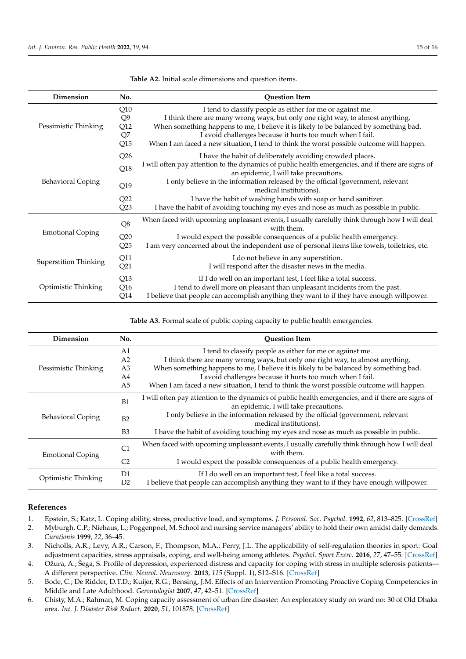| Dimension                    | No.                                       | <b>Question Item</b>                                                                                                                                                                                                                                                                                                                                                                          |  |
|------------------------------|-------------------------------------------|-----------------------------------------------------------------------------------------------------------------------------------------------------------------------------------------------------------------------------------------------------------------------------------------------------------------------------------------------------------------------------------------------|--|
| Pessimistic Thinking         | Q10<br>Q <sub>9</sub><br>Q12<br>Q7<br>Q15 | I tend to classify people as either for me or against me.<br>I think there are many wrong ways, but only one right way, to almost anything.<br>When something happens to me, I believe it is likely to be balanced by something bad.<br>I avoid challenges because it hurts too much when I fail.<br>When I am faced a new situation, I tend to think the worst possible outcome will happen. |  |
| <b>Behavioral Coping</b>     | Q26<br>Q18                                | I have the habit of deliberately avoiding crowded places.<br>I will often pay attention to the dynamics of public health emergencies, and if there are signs of<br>an epidemic, I will take precautions.<br>I only believe in the information released by the official (government, relevant                                                                                                  |  |
|                              | Q19<br>Q22<br>Q23                         | medical institutions).<br>I have the habit of washing hands with soap or hand sanitizer.<br>I have the habit of avoiding touching my eyes and nose as much as possible in public.                                                                                                                                                                                                             |  |
| <b>Emotional Coping</b>      | $\mathrm{Q}8$<br>Q20<br>Q25               | When faced with upcoming unpleasant events, I usually carefully think through how I will deal<br>with them.<br>I would expect the possible consequences of a public health emergency.<br>I am very concerned about the independent use of personal items like towels, toiletries, etc.                                                                                                        |  |
| <b>Superstition Thinking</b> | Q11<br>Q21                                | I do not believe in any superstition.<br>I will respond after the disaster news in the media.                                                                                                                                                                                                                                                                                                 |  |
| Optimistic Thinking          | Q13<br>Q <sub>16</sub><br>Q14             | If I do well on an important test, I feel like a total success.<br>I tend to dwell more on pleasant than unpleasant incidents from the past.<br>I believe that people can accomplish anything they want to if they have enough willpower.                                                                                                                                                     |  |

<span id="page-15-5"></span>**Table A2.** Initial scale dimensions and question items.

<span id="page-15-6"></span>Table A3. Formal scale of public coping capacity to public health emergencies.

| Dimension                  | No.            | <b>Ouestion Item</b>                                                                                                                        |  |  |
|----------------------------|----------------|---------------------------------------------------------------------------------------------------------------------------------------------|--|--|
| Pessimistic Thinking       | A1             | I tend to classify people as either for me or against me.                                                                                   |  |  |
|                            | A <sub>2</sub> | I think there are many wrong ways, but only one right way, to almost anything.                                                              |  |  |
|                            | A3             | When something happens to me, I believe it is likely to be balanced by something bad.                                                       |  |  |
|                            | A4             | I avoid challenges because it hurts too much when I fail.                                                                                   |  |  |
|                            | A <sub>5</sub> | When I am faced a new situation, I tend to think the worst possible outcome will happen.                                                    |  |  |
| <b>Behavioral Coping</b>   | B1             | I will often pay attention to the dynamics of public health emergencies, and if there are signs of<br>an epidemic, I will take precautions. |  |  |
|                            | B2             | I only believe in the information released by the official (government, relevant<br>medical institutions).                                  |  |  |
|                            | B <sub>3</sub> | I have the habit of avoiding touching my eyes and nose as much as possible in public.                                                       |  |  |
| <b>Emotional Coping</b>    | C <sub>1</sub> | When faced with upcoming unpleasant events, I usually carefully think through how I will deal<br>with them.                                 |  |  |
|                            | C <sub>2</sub> | I would expect the possible consequences of a public health emergency.                                                                      |  |  |
| <b>Optimistic Thinking</b> | D1             | If I do well on an important test, I feel like a total success.                                                                             |  |  |
|                            | D2             | I believe that people can accomplish anything they want to if they have enough willpower.                                                   |  |  |

#### **References**

- <span id="page-15-0"></span>1. Epstein, S.; Katz, L. Coping ability, stress, productive load, and symptoms. *J. Personal. Soc. Psychol.* **1992**, *62*, 813–825. [\[CrossRef\]](http://doi.org/10.1037/0022-3514.62.5.813)
- <span id="page-15-1"></span>2. Myburgh, C.P.; Niehaus, L.; Poggenpoel, M. School and nursing service managers' ability to hold their own amidst daily demands. *Curationis* **1999**, *22*, 36–45.
- <span id="page-15-2"></span>3. Nicholls, A.R.; Levy, A.R.; Carson, F.; Thompson, M.A.; Perry, J.L. The applicability of self-regulation theories in sport: Goal adjustment capacities, stress appraisals, coping, and well-being among athletes. *Psychol. Sport Exerc.* **2016**, *27*, 47–55. [\[CrossRef\]](http://doi.org/10.1016/j.psychsport.2016.07.011)
- 4. Ožura, A.; Šega, S. Profile of depression, experienced distress and capacity for coping with stress in multiple sclerosis patients— A different perspective. *Clin. Neurol. Neurosurg.* **2013**, *115* (Suppl. 1), S12–S16. [\[CrossRef\]](http://doi.org/10.1016/j.clineuro.2013.09.014)
- <span id="page-15-3"></span>5. Bode, C.; De Ridder, D.T.D.; Kuijer, R.G.; Bensing, J.M. Effects of an Intervention Promoting Proactive Coping Competencies in Middle and Late Adulthood. *Gerontologist* **2007**, *47*, 42–51. [\[CrossRef\]](http://doi.org/10.1093/geront/47.1.42)
- <span id="page-15-4"></span>6. Chisty, M.A.; Rahman, M. Coping capacity assessment of urban fire disaster: An exploratory study on ward no: 30 of Old Dhaka area. *Int. J. Disaster Risk Reduct.* **2020**, *51*, 101878. [\[CrossRef\]](http://doi.org/10.1016/j.ijdrr.2020.101878)